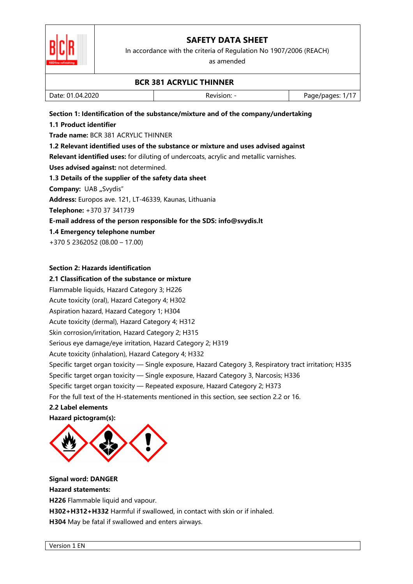

In accordance with the criteria of Regulation No 1907/2006 (REACH)

as amended

|                                                            | <b>BCR 381 ACRYLIC THINNER</b>                                                                          |                  |
|------------------------------------------------------------|---------------------------------------------------------------------------------------------------------|------------------|
| Date: 01.04.2020                                           | Revision: -                                                                                             | Page/pages: 1/17 |
|                                                            | Section 1: Identification of the substance/mixture and of the company/undertaking                       |                  |
| 1.1 Product identifier                                     |                                                                                                         |                  |
| Trade name: BCR 381 ACRYLIC THINNER                        |                                                                                                         |                  |
|                                                            | 1.2 Relevant identified uses of the substance or mixture and uses advised against                       |                  |
|                                                            | Relevant identified uses: for diluting of undercoats, acrylic and metallic varnishes.                   |                  |
| Uses advised against: not determined.                      |                                                                                                         |                  |
| 1.3 Details of the supplier of the safety data sheet       |                                                                                                         |                  |
| Company: UAB "Svydis"                                      |                                                                                                         |                  |
| Address: Europos ave. 121, LT-46339, Kaunas, Lithuania     |                                                                                                         |                  |
| Telephone: +370 37 341739                                  |                                                                                                         |                  |
|                                                            | E-mail address of the person responsible for the SDS: info@svydis.lt                                    |                  |
| 1.4 Emergency telephone number                             |                                                                                                         |                  |
| +370 5 2362052 (08.00 - 17.00)                             |                                                                                                         |                  |
| <b>Section 2: Hazards identification</b>                   |                                                                                                         |                  |
| 2.1 Classification of the substance or mixture             |                                                                                                         |                  |
| Flammable liquids, Hazard Category 3; H226                 |                                                                                                         |                  |
| Acute toxicity (oral), Hazard Category 4; H302             |                                                                                                         |                  |
| Aspiration hazard, Hazard Category 1; H304                 |                                                                                                         |                  |
| Acute toxicity (dermal), Hazard Category 4; H312           |                                                                                                         |                  |
| Skin corrosion/irritation, Hazard Category 2; H315         |                                                                                                         |                  |
| Serious eye damage/eye irritation, Hazard Category 2; H319 |                                                                                                         |                  |
| Acute toxicity (inhalation), Hazard Category 4; H332       |                                                                                                         |                  |
|                                                            | Specific target organ toxicity - Single exposure, Hazard Category 3, Respiratory tract irritation; H335 |                  |
|                                                            | Specific target organ toxicity - Single exposure, Hazard Category 3, Narcosis; H336                     |                  |
|                                                            | Specific target organ toxicity — Repeated exposure, Hazard Category 2; H373                             |                  |
|                                                            | For the full text of the H-statements mentioned in this section, see section 2.2 or 16.                 |                  |
| 2.2 Label elements                                         |                                                                                                         |                  |
| Hazard pictogram(s):                                       |                                                                                                         |                  |
|                                                            |                                                                                                         |                  |
| <b>Signal word: DANGER</b>                                 |                                                                                                         |                  |
| <b>Hazard statements:</b>                                  |                                                                                                         |                  |
| H226 Flammable liquid and vapour.                          |                                                                                                         |                  |
|                                                            | H302+H312+H332 Harmful if swallowed, in contact with skin or if inhaled.                                |                  |
| H304 May be fatal if swallowed and enters airways.         |                                                                                                         |                  |
|                                                            |                                                                                                         |                  |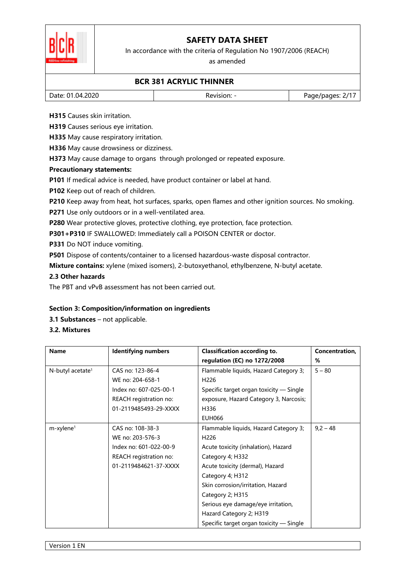

In accordance with the criteria of Regulation No 1907/2006 (REACH)

as amended

### **BCR 381 ACRYLIC THINNER**

| Date: 01.04.2020 | Revision: | Page/pages: 2/1 <sup>-</sup> |
|------------------|-----------|------------------------------|
|                  |           |                              |

**H315** Causes skin irritation.

**H319** Causes serious eye irritation.

**H335** May cause respiratory irritation.

**H336** May cause drowsiness or dizziness.

**H373** May cause damage to organs through prolonged or repeated exposure.

#### **Precautionary statements:**

**P101** If medical advice is needed, have product container or label at hand.

**P102** Keep out of reach of children.

**P210** Keep away from heat, hot surfaces, sparks, open flames and other ignition sources. No smoking.

**P271** Use only outdoors or in a well-ventilated area.

**P280** Wear protective gloves, protective clothing, eye protection, face protection.

**P301+P310** IF SWALLOWED: Immediately call a POISON CENTER or doctor.

**P331** Do NOT induce vomiting.

**P501** Dispose of contents/container to a licensed hazardous-waste disposal contractor.

**Mixture contains:** xylene (mixed isomers), 2-butoxyethanol, ethylbenzene, N-butyl acetate.

### **2.3 Other hazards**

The PBT and vPvB assessment has not been carried out.

### **Section 3: Composition/information on ingredients**

**3.1 Substances** – not applicable.

### **3.2. Mixtures**

| <b>Name</b>                  | <b>Identifying numbers</b> | <b>Classification according to.</b>     | Concentration, |
|------------------------------|----------------------------|-----------------------------------------|----------------|
|                              |                            | regulation (EC) no 1272/2008            | %              |
| N-butyl acetate <sup>1</sup> | CAS no: 123-86-4           | Flammable liquids, Hazard Category 3;   | $5 - 80$       |
|                              | WE no: 204-658-1           | H <sub>226</sub>                        |                |
|                              | Index no: 607-025-00-1     | Specific target organ toxicity - Single |                |
|                              | REACH registration no:     | exposure, Hazard Category 3, Narcosis;  |                |
|                              | 01-2119485493-29-XXXX      | H336                                    |                |
|                              |                            | <b>EUH066</b>                           |                |
| $m$ -xylene <sup>1</sup>     | CAS no: 108-38-3           | Flammable liquids, Hazard Category 3;   | $9,2 - 48$     |
|                              | WE no: 203-576-3           | H <sub>226</sub>                        |                |
|                              | Index no: 601-022-00-9     | Acute toxicity (inhalation), Hazard     |                |
|                              | REACH registration no:     | Category 4; H332                        |                |
|                              | 01-2119484621-37-XXXX      | Acute toxicity (dermal), Hazard         |                |
|                              |                            | Category 4; H312                        |                |
|                              |                            | Skin corrosion/irritation, Hazard       |                |
|                              |                            | Category 2; H315                        |                |
|                              |                            | Serious eye damage/eye irritation,      |                |
|                              |                            | Hazard Category 2; H319                 |                |
|                              |                            | Specific target organ toxicity — Single |                |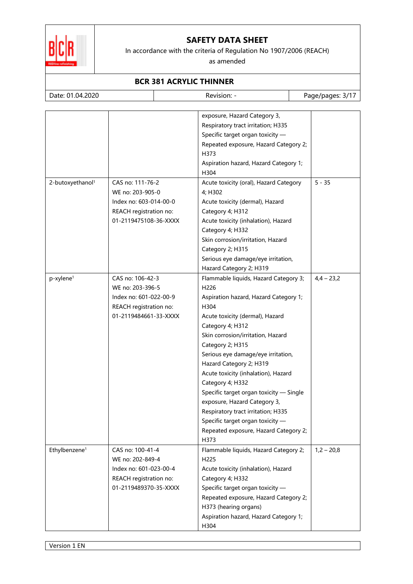

In accordance with the criteria of Regulation No 1907/2006 (REACH)

as amended

### **BCR 381 ACRYLIC THINNER**

| Date: 01.04.2020             |                        | Revision: -                             | Page/pages: 3/17 |
|------------------------------|------------------------|-----------------------------------------|------------------|
|                              |                        |                                         |                  |
|                              |                        | exposure, Hazard Category 3,            |                  |
|                              |                        | Respiratory tract irritation; H335      |                  |
|                              |                        | Specific target organ toxicity -        |                  |
|                              |                        | Repeated exposure, Hazard Category 2;   |                  |
|                              |                        | H373                                    |                  |
|                              |                        | Aspiration hazard, Hazard Category 1;   |                  |
|                              |                        | H304                                    |                  |
| 2-butoxyethanol <sup>1</sup> | CAS no: 111-76-2       | Acute toxicity (oral), Hazard Category  | $5 - 35$         |
|                              | WE no: 203-905-0       | 4; H302                                 |                  |
|                              | Index no: 603-014-00-0 | Acute toxicity (dermal), Hazard         |                  |
|                              | REACH registration no: | Category 4; H312                        |                  |
|                              | 01-2119475108-36-XXXX  | Acute toxicity (inhalation), Hazard     |                  |
|                              |                        | Category 4; H332                        |                  |
|                              |                        | Skin corrosion/irritation, Hazard       |                  |
|                              |                        | Category 2; H315                        |                  |
|                              |                        | Serious eye damage/eye irritation,      |                  |
|                              |                        | Hazard Category 2; H319                 |                  |
| p-xylene <sup>1</sup>        | CAS no: 106-42-3       | Flammable liquids, Hazard Category 3;   | $4,4 - 23,2$     |
|                              | WE no: 203-396-5       | H226                                    |                  |
|                              | Index no: 601-022-00-9 | Aspiration hazard, Hazard Category 1;   |                  |
|                              | REACH registration no: | H304                                    |                  |
|                              | 01-2119484661-33-XXXX  | Acute toxicity (dermal), Hazard         |                  |
|                              |                        | Category 4; H312                        |                  |
|                              |                        | Skin corrosion/irritation, Hazard       |                  |
|                              |                        | Category 2; H315                        |                  |
|                              |                        | Serious eye damage/eye irritation,      |                  |
|                              |                        | Hazard Category 2; H319                 |                  |
|                              |                        | Acute toxicity (inhalation), Hazard     |                  |
|                              |                        | Category 4; H332                        |                  |
|                              |                        | Specific target organ toxicity - Single |                  |
|                              |                        | exposure, Hazard Category 3,            |                  |
|                              |                        | Respiratory tract irritation; H335      |                  |
|                              |                        | Specific target organ toxicity -        |                  |
|                              |                        | Repeated exposure, Hazard Category 2;   |                  |
|                              |                        | H373                                    |                  |
| Ethylbenzene <sup>1</sup>    | CAS no: 100-41-4       | Flammable liquids, Hazard Category 2;   | $1,2 - 20,8$     |
|                              | WE no: 202-849-4       | H225                                    |                  |
|                              | Index no: 601-023-00-4 | Acute toxicity (inhalation), Hazard     |                  |
|                              | REACH registration no: | Category 4; H332                        |                  |
|                              | 01-2119489370-35-XXXX  | Specific target organ toxicity -        |                  |
|                              |                        | Repeated exposure, Hazard Category 2;   |                  |
|                              |                        | H373 (hearing organs)                   |                  |
|                              |                        | Aspiration hazard, Hazard Category 1;   |                  |
|                              |                        | H304                                    |                  |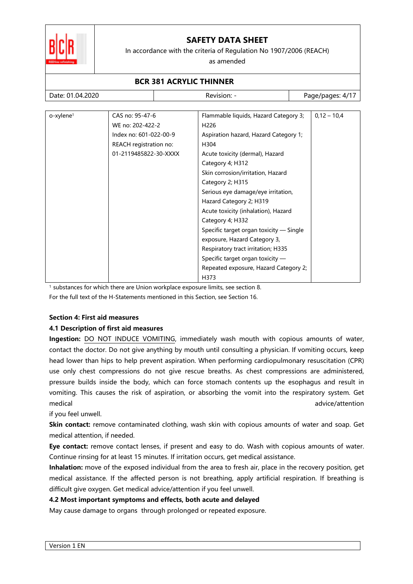

In accordance with the criteria of Regulation No 1907/2006 (REACH)

as amended

#### **BCR 381 ACRYLIC THINNER**  Date: 01.04.2020 Revision: - Page/pages: 4/17 o-xylene<sup>1</sup> CAS no: 95-47-6 WE no: 202-422-2 Index no: 601-022-00-9 REACH registration no: 01-2119485822-30-XXXX Flammable liquids, Hazard Category 3; H226 Aspiration hazard, Hazard Category 1; H304 Acute toxicity (dermal), Hazard Category 4; H312 Skin corrosion/irritation, Hazard Category 2; H315 Serious eye damage/eye irritation, Hazard Category 2; H319 Acute toxicity (inhalation), Hazard Category 4; H332 Specific target organ toxicity — Single exposure, Hazard Category 3, Respiratory tract irritation; H335 Specific target organ toxicity — Repeated exposure, Hazard Category 2;  $0,12 - 10,4$

<sup>1</sup> substances for which there are Union workplace exposure limits, see section 8.

For the full text of the H-Statements mentioned in this Section, see Section 16.

### **Section 4: First aid measures**

### **4.1 Description of first aid measures**

**Ingestion:** DO NOT INDUCE VOMITING, immediately wash mouth with copious amounts of water, contact the doctor. Do not give anything by mouth until consulting a physician. If vomiting occurs, keep head lower than hips to help prevent aspiration. When performing cardiopulmonary resuscitation (CPR) use only chest compressions do not give rescue breaths. As chest compressions are administered, pressure builds inside the body, which can force stomach contents up the esophagus and result in vomiting. This causes the risk of aspiration, or absorbing the vomit into the respiratory system. Get medical advice/attention

H373

if you feel unwell.

**Skin contact:** remove contaminated clothing, wash skin with copious amounts of water and soap. Get medical attention, if needed.

**Eye contact:** remove contact lenses, if present and easy to do. Wash with copious amounts of water. Continue rinsing for at least 15 minutes. If irritation occurs, get medical assistance.

**Inhalation:** move of the exposed individual from the area to fresh air, place in the recovery position, get medical assistance. If the affected person is not breathing, apply artificial respiration. If breathing is difficult give oxygen. Get medical advice/attention if you feel unwell.

### **4.2 Most important symptoms and effects, both acute and delayed**

May cause damage to organs through prolonged or repeated exposure.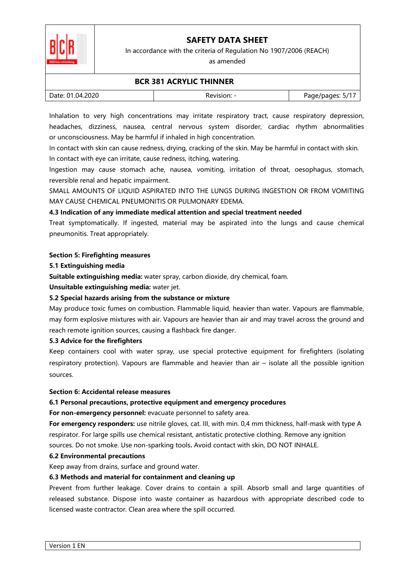

In accordance with the criteria of Regulation No 1907/2006 (REACH)

as amended

### **BCR 381 ACRYLIC THINNER**

| Date: 01.04.2020 | Revision: - | " Page/pages: ۲ |
|------------------|-------------|-----------------|

Inhalation to very high concentrations may irritate respiratory tract, cause respiratory depression, headaches, dizziness, nausea, central nervous system disorder, cardiac rhythm abnormalities or unconsciousness. May be harmful if inhaled in high concentration.

In contact with skin can cause redness, drying, cracking of the skin. May be harmful in contact with skin. In contact with eye can irritate, cause redness, itching, watering.

Ingestion may cause stomach ache, nausea, vomiting, irritation of throat, oesophagus, stomach, reversible renal and hepatic impairment.

SMALL AMOUNTS OF LIQUID ASPIRATED INTO THE LUNGS DURING INGESTION OR FROM VOMITING MAY CAUSE CHEMICAL PNEUMONITIS OR PULMONARY EDEMA.

### **4.3 Indication of any immediate medical attention and special treatment needed**

Treat symptomatically. If ingested, material may be aspirated into the lungs and cause chemical pneumonitis. Treat appropriately.

### **Section 5: Firefighting measures**

#### **5.1 Extinguishing media**

**Suitable extinguishing media:** water spray, carbon dioxide, dry chemical, foam.

**Unsuitable extinguishing media:** water jet.

### **5.2 Special hazards arising from the substance or mixture**

May produce toxic fumes on combustion. Flammable liquid, heavier than water. Vapours are flammable, may form explosive mixtures with air. Vapours are heavier than air and may travel across the ground and reach remote ignition sources, causing a flashback fire danger.

### **5.3 Advice for the firefighters**

Keep containers cool with water spray, use special protective equipment for firefighters (isolating respiratory protection). Vapours are flammable and heavier than air – isolate all the possible ignition sources.

### **Section 6: Accidental release measures**

### **6.1 Personal precautions, protective equipment and emergency procedures**

For non-emergency personnel: evacuate personnel to safety area.

**For emergency responders:** use nitrile gloves, cat. III, with min. 0,4 mm thickness, half-mask with type A respirator. For large spills use chemical resistant, antistatic protective clothing. Remove any ignition sources. Do not smoke. Use non-sparking tools**.** Avoid contact with skin, DO NOT INHALE.

### **6.2 Environmental precautions**

Keep away from drains, surface and ground water.

### **6.3 Methods and material for containment and cleaning up**

Prevent from further leakage. Cover drains to contain a spill. Absorb small and large quantities of released substance. Dispose into waste container as hazardous with appropriate described code to licensed waste contractor. Clean area where the spill occurred.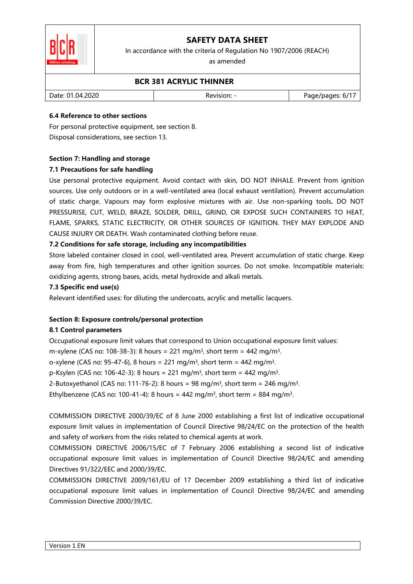

In accordance with the criteria of Regulation No 1907/2006 (REACH)

as amended

### **BCR 381 ACRYLIC THINNER**

| Date: 01.04.2020 | Revision: | Page/pages: 6/1 |
|------------------|-----------|-----------------|
|                  |           |                 |

### **6.4 Reference to other sections**

For personal protective equipment, see section 8. Disposal considerations, see section 13.

### **Section 7: Handling and storage**

### **7.1 Precautions for safe handling**

Use personal protective equipment. Avoid contact with skin, DO NOT INHALE. Prevent from ignition sources. Use only outdoors or in a well-ventilated area (local exhaust ventilation). Prevent accumulation of static charge. Vapours may form explosive mixtures with air. Use non-sparking tools**.** DO NOT PRESSURISE, CUT, WELD, BRAZE, SOLDER, DRILL, GRIND, OR EXPOSE SUCH CONTAINERS TO HEAT, FLAME, SPARKS, STATIC ELECTRICITY, OR OTHER SOURCES OF IGNITION. THEY MAY EXPLODE AND CAUSE INJURY OR DEATH. Wash contaminated clothing before reuse.

### **7.2 Conditions for safe storage, including any incompatibilities**

Store labeled container closed in cool, well-ventilated area. Prevent accumulation of static charge. Keep away from fire, high temperatures and other ignition sources. Do not smoke. Incompatible materials: oxidizing agents, strong bases, acids, metal hydroxide and alkali metals.

### **7.3 Specific end use(s)**

Relevant identified uses: for diluting the undercoats, acrylic and metallic lacquers.

### **Section 8: Exposure controls/personal protection**

### **8.1 Control parameters**

Occupational exposure limit values that correspond to Union occupational exposure limit values:

m-xylene (CAS no: 108-38-3): 8 hours = 221 mg/m<sup>3</sup>, short term = 442 mg/m<sup>3</sup>.

o-xylene (CAS no: 95-47-6), 8 hours = 221 mg/m<sup>3</sup>, short term = 442 mg/m<sup>3</sup>.

p-Ksylen (CAS no: 106-42-3): 8 hours = 221 mg/m<sup>3</sup>, short term = 442 mg/m<sup>3</sup>.

2-Butoxyethanol (CAS no: 111-76-2): 8 hours = 98 mg/m<sup>3</sup>, short term = 246 mg/m<sup>3</sup>.

Ethylbenzene (CAS no: 100-41-4): 8 hours = 442 mg/m<sup>3</sup>, short term = 884 mg/m<sup>3</sup>.

COMMISSION DIRECTIVE 2000/39/EC of 8 June 2000 establishing a first list of indicative occupational exposure limit values in implementation of Council Directive 98/24/EC on the protection of the health and safety of workers from the risks related to chemical agents at work.

COMMISSION DIRECTIVE 2006/15/EC of 7 February 2006 establishing a second list of indicative occupational exposure limit values in implementation of Council Directive 98/24/EC and amending Directives 91/322/EEC and 2000/39/EC.

COMMISSION DIRECTIVE 2009/161/EU of 17 December 2009 establishing a third list of indicative occupational exposure limit values in implementation of Council Directive 98/24/EC and amending Commission Directive 2000/39/EC.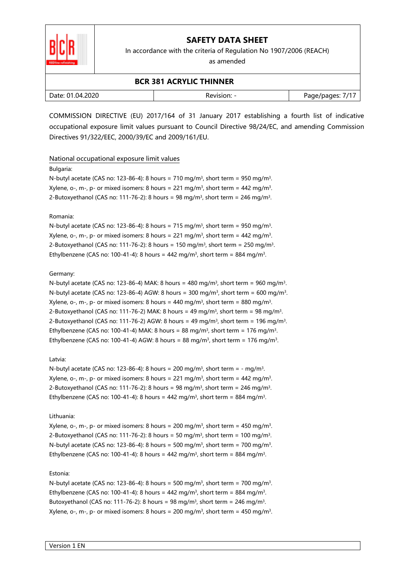

In accordance with the criteria of Regulation No 1907/2006 (REACH)

as amended

### **BCR 381 ACRYLIC THINNER**

| Date: 01.04.2020 | Revision. | 71<br>Page/pages:<br>ـ |
|------------------|-----------|------------------------|
|                  |           |                        |

COMMISSION DIRECTIVE (EU) 2017/164 of 31 January 2017 establishing a fourth list of indicative occupational exposure limit values pursuant to Council Directive 98/24/EC, and amending Commission Directives 91/322/EEC, 2000/39/EC and 2009/161/EU.

### National occupational exposure limit values

#### Bulgaria:

N-butyl acetate (CAS no: 123-86-4): 8 hours = 710 mg/m<sup>3</sup>, short term = 950 mg/m<sup>3</sup>. Xylene, o-, m-, p- or mixed isomers: 8 hours = 221 mg/m $^3$ , short term = 442 mg/m $^3$ . 2-Butoxyethanol (CAS no: 111-76-2): 8 hours = 98 mg/m<sup>3</sup>, short term = 246 mg/m<sup>3</sup>.

#### Romania:

N-butyl acetate (CAS no: 123-86-4): 8 hours = 715 mg/m<sup>3</sup>, short term = 950 mg/m<sup>3</sup>. Xylene, o-, m-, p- or mixed isomers: 8 hours = 221 mg/m $^3$ , short term = 442 mg/m $^3$ . 2-Butoxyethanol (CAS no: 111-76-2): 8 hours = 150 mg/m<sup>3</sup>, short term = 250 mg/m<sup>3</sup>. Ethylbenzene (CAS no: 100-41-4): 8 hours = 442 mg/m $^3$ , short term = 884 mg/m $^3$ .

#### Germany:

N-butyl acetate (CAS no: 123-86-4) MAK: 8 hours = 480 mg/m<sup>3</sup>, short term = 960 mg/m<sup>3</sup>. N-butyl acetate (CAS no: 123-86-4) AGW: 8 hours = 300 mg/m<sup>3</sup>, short term = 600 mg/m<sup>3</sup>. Xylene, o-, m-, p- or mixed isomers: 8 hours = 440 mg/m $^3$ , short term = 880 mg/m $^3$ . 2-Butoxyethanol (CAS no: 111-76-2) MAK: 8 hours = 49 mg/m<sup>3</sup>, short term = 98 mg/m<sup>3</sup>. 2-Butoxyethanol (CAS no: 111-76-2) AGW: 8 hours = 49 mg/m<sup>3</sup>, short term = 196 mg/m<sup>3</sup>. Ethylbenzene (CAS no: 100-41-4) MAK: 8 hours = 88 mg/m $^3$ , short term = 176 mg/m $^3$ . Ethylbenzene (CAS no: 100-41-4) AGW: 8 hours = 88 mg/m<sup>3</sup>, short term = 176 mg/m<sup>3</sup>.

### Latvia:

N-butyl acetate (CAS no: 123-86-4): 8 hours = 200 mg/m<sup>3</sup>, short term =  $\cdot$  mg/m<sup>3</sup>. Xylene, o-, m-, p- or mixed isomers: 8 hours = 221 mg/m $^3$ , short term = 442 mg/m $^3$ . 2-Butoxyethanol (CAS no: 111-76-2): 8 hours = 98 mg/m<sup>3</sup>, short term = 246 mg/m<sup>3</sup>. Ethylbenzene (CAS no: 100-41-4): 8 hours = 442 mg/m $^3$ , short term = 884 mg/m $^3$ .

### Lithuania:

Xylene, o-, m-, p- or mixed isomers: 8 hours = 200 mg/m $^3$ , short term = 450 mg/m $^3$ . 2-Butoxyethanol (CAS no: 111-76-2): 8 hours = 50 mg/m<sup>3</sup>, short term = 100 mg/m<sup>3</sup>. N-butyl acetate (CAS no: 123-86-4): 8 hours = 500 mg/m<sup>3</sup>, short term = 700 mg/m<sup>3</sup>. Ethylbenzene (CAS no: 100-41-4): 8 hours = 442 mg/m $^3$ , short term = 884 mg/m $^3$ .

#### Estonia:

N-butyl acetate (CAS no: 123-86-4): 8 hours = 500 mg/m<sup>3</sup>, short term = 700 mg/m<sup>3</sup>. Ethylbenzene (CAS no: 100-41-4): 8 hours = 442 mg/m<sup>3</sup>, short term = 884 mg/m<sup>3</sup>. Butoxyethanol (CAS no: 111-76-2): 8 hours = 98 mg/m<sup>3</sup>, short term = 246 mg/m<sup>3</sup>. Xylene, o-, m-, p- or mixed isomers: 8 hours = 200 mg/m $^3$ , short term = 450 mg/m $^3$ .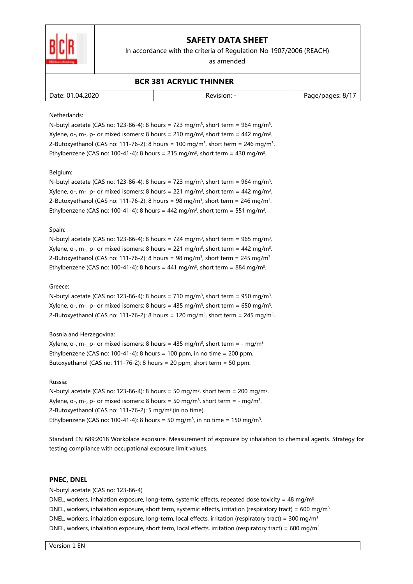

In accordance with the criteria of Regulation No 1907/2006 (REACH)

as amended

### **BCR 381 ACRYLIC THINNER**

| Date: 01.04.2020 | Revision: | Page/pages: 8/1. |
|------------------|-----------|------------------|
|                  |           |                  |

#### Netherlands:

N-butyl acetate (CAS no: 123-86-4): 8 hours = 723 mg/m<sup>3</sup>, short term = 964 mg/m<sup>3</sup>. Xylene, o-, m-, p- or mixed isomers: 8 hours = 210 mg/m $^3$ , short term = 442 mg/m $^3$ . 2-Butoxyethanol (CAS no: 111-76-2): 8 hours = 100 mg/m<sup>3</sup>, short term = 246 mg/m<sup>3</sup>. Ethylbenzene (CAS no: 100-41-4): 8 hours = 215 mg/m<sup>3</sup>, short term = 430 mg/m<sup>3</sup>.

#### Belgium:

N-butyl acetate (CAS no: 123-86-4): 8 hours = 723 mg/m<sup>3</sup>, short term = 964 mg/m<sup>3</sup>. Xylene, o-, m-, p- or mixed isomers: 8 hours = 221 mg/m<sup>3</sup>, short term = 442 mg/m<sup>3</sup>. 2-Butoxyethanol (CAS no: 111-76-2): 8 hours = 98 mg/m<sup>3</sup>, short term = 246 mg/m<sup>3</sup>. Ethylbenzene (CAS no: 100-41-4): 8 hours = 442 mg/m<sup>3</sup>, short term = 551 mg/m<sup>3</sup>.

#### Spain:

N-butyl acetate (CAS no: 123-86-4): 8 hours = 724 mg/m<sup>3</sup>, short term = 965 mg/m<sup>3</sup>. Xylene, o-, m-, p- or mixed isomers: 8 hours = 221 mg/m $^3$ , short term = 442 mg/m $^3$ . 2-Butoxyethanol (CAS no: 111-76-2): 8 hours = 98 mg/m<sup>3</sup>, short term = 245 mg/m<sup>3</sup>. Ethylbenzene (CAS no: 100-41-4): 8 hours = 441 mg/m<sup>3</sup>, short term = 884 mg/m<sup>3</sup>.

#### Greece:

N-butyl acetate (CAS no: 123-86-4): 8 hours = 710 mg/m<sup>3</sup>, short term = 950 mg/m<sup>3</sup>. Xylene, o-, m-, p- or mixed isomers: 8 hours = 435 mg/m $^3$ , short term = 650 mg/m $^3$ . 2-Butoxyethanol (CAS no: 111-76-2): 8 hours = 120 mg/m<sup>3</sup>, short term = 245 mg/m<sup>3</sup>.

#### Bosnia and Herzegovina:

Xylene, o-, m-, p- or mixed isomers: 8 hours = 435 mg/m $3$ , short term = - mg/m $3$ Ethylbenzene (CAS no: 100-41-4): 8 hours = 100 ppm, in no time = 200 ppm. Butoxyethanol (CAS no: 111-76-2): 8 hours = 20 ppm, short term = 50 ppm.

#### Russia:

N-butyl acetate (CAS no: 123-86-4): 8 hours = 50 mg/m<sup>3</sup>, short term = 200 mg/m<sup>3</sup>. Xylene, o-, m-, p- or mixed isomers: 8 hours = 50 mg/m $^3$ , short term = - mg/m $^3$ . 2-Butoxyethanol (CAS no: 111-76-2): 5 mg/m<sup>3</sup>(in no time). Ethylbenzene (CAS no: 100-41-4): 8 hours = 50 mg/m<sup>3</sup>, in no time = 150 mg/m<sup>3</sup>.

Standard EN 689:2018 Workplace exposure. Measurement of exposure by inhalation to chemical agents. Strategy for testing compliance with occupational exposure limit values.

#### **PNEC, DNEL**

#### N-butyl acetate (CAS no: 123-86-4)

DNEL, workers, inhalation exposure, long-term, systemic effects, repeated dose toxicity = 48 mg/m<sup>3</sup> DNEL, workers, inhalation exposure, short term, systemic effects, irritation (respiratory tract) = 600 mg/m<sup>3</sup> DNEL, workers, inhalation exposure, long-term, local effects, irritation (respiratory tract) = 300 mg/m<sup>3</sup> DNEL, workers, inhalation exposure, short term, local effects, irritation (respiratory tract) = 600 mg/m<sup>3</sup>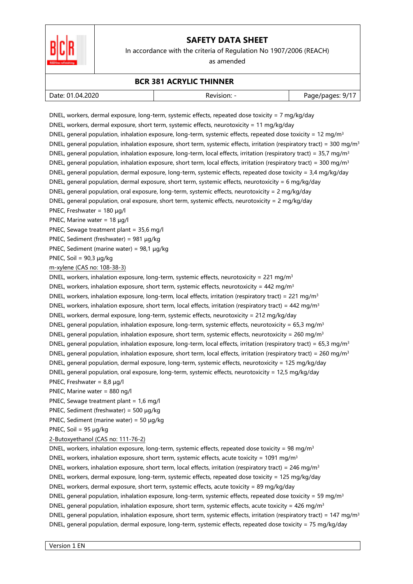

In accordance with the criteria of Regulation No 1907/2006 (REACH)

as amended

### **BCR 381 ACRYLIC THINNER**

DNEL, workers, dermal exposure, long-term, systemic effects, repeated dose toxicity = 7 mg/kg/day DNEL, workers, dermal exposure, short term, systemic effects, neurotoxicity = 11 mg/kg/day

| Date: 01.04.2020 | Revision: | 9/1<br>Page/pages |
|------------------|-----------|-------------------|
|                  |           |                   |

DNEL, general population, inhalation exposure, long-term, systemic effects, repeated dose toxicity = 12 mg/m<sup>3</sup>

DNEL, general population, inhalation exposure, short term, systemic effects, irritation (respiratory tract) = 300 mg/m<sup>3</sup> DNEL, general population, inhalation exposure, long-term, local effects, irritation (respiratory tract) =  $35.7 \text{ mg/m}^3$ DNEL, general population, inhalation exposure, short term, local effects, irritation (respiratory tract) = 300 mg/m<sup>3</sup> DNEL, general population, dermal exposure, long-term, systemic effects, repeated dose toxicity = 3,4 mg/kg/day DNEL, general population, dermal exposure, short term, systemic effects, neurotoxicity = 6 mg/kg/day DNEL, general population, oral exposure, long-term, systemic effects, neurotoxicity = 2 mg/kg/day DNEL, general population, oral exposure, short term, systemic effects, neurotoxicity = 2 mg/kg/day PNEC, Freshwater = 180 µg/l PNEC, Marine water = 18 ug/l PNEC, Sewage treatment plant = 35,6 mg/l PNEC, Sediment (freshwater) = 981 µg/kg PNEC, Sediment (marine water) = 98,1 µg/kg PNEC, Soil =  $90,3 \mu q/kg$ m-xylene (CAS no: 108-38-3) DNEL, workers, inhalation exposure, long-term, systemic effects, neurotoxicity = 221 mg/m<sup>3</sup> DNEL, workers, inhalation exposure, short term, systemic effects, neurotoxicity = 442 mg/m<sup>3</sup> DNEL, workers, inhalation exposure, long-term, local effects, irritation (respiratory tract) = 221 mg/m<sup>3</sup> DNEL, workers, inhalation exposure, short term, local effects, irritation (respiratory tract) = 442 mg/m<sup>3</sup> DNEL, workers, dermal exposure, long-term, systemic effects, neurotoxicity = 212 mg/kg/day DNEL, general population, inhalation exposure, long-term, systemic effects, neurotoxicity = 65,3 mg/m<sup>3</sup> DNEL, general population, inhalation exposure, short term, systemic effects, neurotoxicity = 260 mg/m<sup>3</sup> DNEL, general population, inhalation exposure, long-term, local effects, irritation (respiratory tract) = 65,3 mg/m<sup>3</sup> DNEL, general population, inhalation exposure, short term, local effects, irritation (respiratory tract) = 260 mg/m<sup>3</sup> DNEL, general population, dermal exposure, long-term, systemic effects, neurotoxicity = 125 mg/kg/day DNEL, general population, oral exposure, long-term, systemic effects, neurotoxicity = 12,5 mg/kg/day PNEC, Freshwater = 8,8 µg/l PNEC, Marine water = 880 ng/l PNEC, Sewage treatment plant = 1,6 mg/l PNEC, Sediment (freshwater) = 500 µg/kg PNEC, Sediment (marine water) =  $50 \mu g/kg$ PNEC, Soil = 95 µg/kg 2-Butoxyethanol (CAS no: 111-76-2) DNEL, workers, inhalation exposure, long-term, systemic effects, repeated dose toxicity = 98 mg/m<sup>3</sup> DNEL, workers, inhalation exposure, short term, systemic effects, acute toxicity = 1091 mg/m<sup>3</sup> DNEL, workers, inhalation exposure, short term, local effects, irritation (respiratory tract) = 246 mg/m<sup>3</sup> DNEL, workers, dermal exposure, long-term, systemic effects, repeated dose toxicity = 125 mg/kg/day DNEL, workers, dermal exposure, short term, systemic effects, acute toxicity = 89 mg/kg/day DNEL, general population, inhalation exposure, long-term, systemic effects, repeated dose toxicity = 59 mg/m<sup>3</sup> DNEL, general population, inhalation exposure, short term, systemic effects, acute toxicity = 426 mg/m<sup>3</sup> DNEL, general population, inhalation exposure, short term, systemic effects, irritation (respiratory tract) = 147 mg/m<sup>3</sup> DNEL, general population, dermal exposure, long-term, systemic effects, repeated dose toxicity = 75 mg/kg/day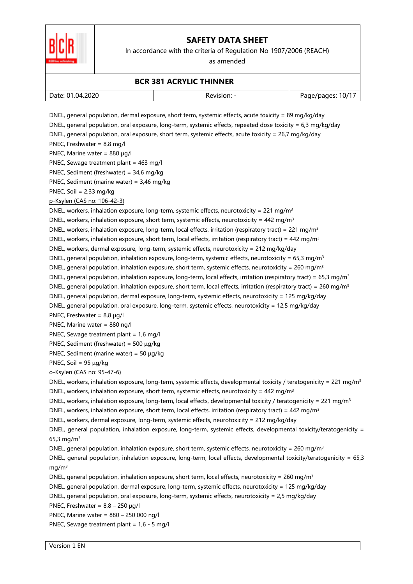

In accordance with the criteria of Regulation No 1907/2006 (REACH)

as amended

### **BCR 381 ACRYLIC THINNER**

| .2020<br>Date: 01<br>.U4. | 10/1<br>. ade/nades: "<br>- |
|---------------------------|-----------------------------|
|                           |                             |

DNEL, general population, dermal exposure, short term, systemic effects, acute toxicity = 89 mg/kg/day DNEL, general population, oral exposure, long-term, systemic effects, repeated dose toxicity = 6,3 mg/kg/day DNEL, general population, oral exposure, short term, systemic effects, acute toxicity = 26,7 mg/kg/day PNEC, Freshwater = 8,8 mg/l PNEC, Marine water =  $880 \mu q/l$ PNEC, Sewage treatment plant = 463 mg/l PNEC, Sediment (freshwater) = 34,6 mg/kg PNEC, Sediment (marine water) = 3,46 mg/kg PNEC, Soil = 2,33 mg/kg p-Ksylen (CAS no: 106-42-3) DNEL, workers, inhalation exposure, long-term, systemic effects, neurotoxicity = 221 mg/m<sup>3</sup> DNEL, workers, inhalation exposure, short term, systemic effects, neurotoxicity =  $442$  mg/m<sup>3</sup> DNEL, workers, inhalation exposure, long-term, local effects, irritation (respiratory tract) = 221 mg/m<sup>3</sup> DNEL, workers, inhalation exposure, short term, local effects, irritation (respiratory tract) = 442 mg/m<sup>3</sup> DNEL, workers, dermal exposure, long-term, systemic effects, neurotoxicity = 212 mg/kg/day DNEL, general population, inhalation exposure, long-term, systemic effects, neurotoxicity = 65,3 mg/m<sup>3</sup> DNEL, general population, inhalation exposure, short term, systemic effects, neurotoxicity = 260 mg/m<sup>3</sup> DNEL, general population, inhalation exposure, long-term, local effects, irritation (respiratory tract) = 65,3 mg/m<sup>3</sup> DNEL, general population, inhalation exposure, short term, local effects, irritation (respiratory tract) = 260 mg/m<sup>3</sup> DNEL, general population, dermal exposure, long-term, systemic effects, neurotoxicity = 125 mg/kg/day DNEL, general population, oral exposure, long-term, systemic effects, neurotoxicity = 12,5 mg/kg/day PNEC, Freshwater = 8,8 µg/l PNEC, Marine water = 880 ng/l PNEC, Sewage treatment plant = 1,6 mg/l PNEC, Sediment (freshwater) = 500 µg/kg PNEC, Sediment (marine water) = 50 µg/kg PNEC, Soil = 95 µg/kg o-Ksylen (CAS no: 95-47-6) DNEL, workers, inhalation exposure, long-term, systemic effects, developmental toxicity / teratogenicity = 221 mg/m<sup>3</sup> DNEL, workers, inhalation exposure, short term, systemic effects, neurotoxicity =  $442$  mg/m<sup>3</sup> DNEL, workers, inhalation exposure, long-term, local effects, developmental toxicity / teratogenicity = 221 mg/m<sup>3</sup> DNEL, workers, inhalation exposure, short term, local effects, irritation (respiratory tract) = 442 mg/m<sup>3</sup> DNEL, workers, dermal exposure, long-term, systemic effects, neurotoxicity = 212 mg/kg/day DNEL, general population, inhalation exposure, long-term, systemic effects, developmental toxicity/teratogenicity = 65,3 mg/m<sup>3</sup> DNEL, general population, inhalation exposure, short term, systemic effects, neurotoxicity = 260 mg/m<sup>3</sup> DNEL, general population, inhalation exposure, long-term, local effects, developmental toxicity/teratogenicity = 65,3 mg/m<sup>3</sup> DNEL, general population, inhalation exposure, short term, local effects, neurotoxicity = 260 mg/m<sup>3</sup> DNEL, general population, dermal exposure, long-term, systemic effects, neurotoxicity = 125 mg/kg/day DNEL, general population, oral exposure, long-term, systemic effects, neurotoxicity = 2,5 mg/kg/day PNEC, Freshwater =  $8.8 - 250 \text{ u}$ a/l PNEC, Marine water = 880 – 250 000 ng/l PNEC, Sewage treatment plant = 1,6 - 5 mg/l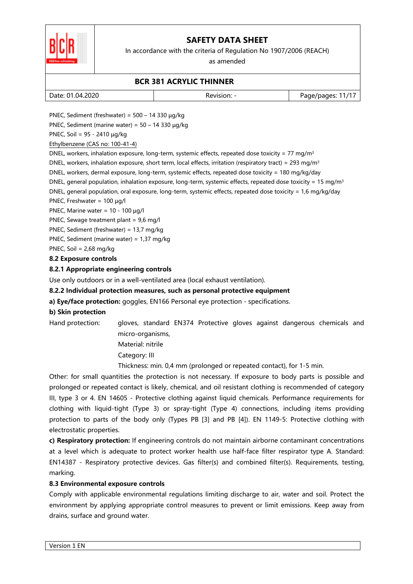

In accordance with the criteria of Regulation No 1907/2006 (REACH)

as amended

### **BCR 381 ACRYLIC THINNER**

| Date: 01.04.2020 | kevision: | .1/7<br>age/pages: ' |
|------------------|-----------|----------------------|
|                  |           |                      |

PNEC, Sediment (freshwater) =  $500 - 14330 \mu g/kg$ 

PNEC, Sediment (marine water) = 50 – 14 330 µg/kg

PNEC, Soil = 95 - 2410 µg/kg

Ethylbenzene (CAS no: 100-41-4)

DNEL, workers, inhalation exposure, long-term, systemic effects, repeated dose toxicity = 77 mg/m<sup>3</sup>

DNEL, workers, inhalation exposure, short term, local effects, irritation (respiratory tract) = 293 mg/m<sup>3</sup>

DNEL, workers, dermal exposure, long-term, systemic effects, repeated dose toxicity = 180 mg/kg/day

DNEL, general population, inhalation exposure, long-term, systemic effects, repeated dose toxicity = 15 mg/m<sup>3</sup>

DNEL, general population, oral exposure, long-term, systemic effects, repeated dose toxicity = 1,6 mg/kg/day

PNEC, Freshwater = 100 µg/l

PNEC, Marine water =  $10 - 100 \mu q/l$ 

PNEC, Sewage treatment plant = 9,6 mg/l

PNEC, Sediment (freshwater) = 13,7 mg/kg

PNEC, Sediment (marine water) = 1,37 mg/kg

PNEC, Soil = 2,68 mg/kg

### **8.2 Exposure controls**

### **8.2.1 Appropriate engineering controls**

Use only outdoors or in a well-ventilated area (local exhaust ventilation).

### **8.2.2 Individual protection measures, such as personal protective equipment**

**a) Eye/face protection:** goggles, EN166 Personal eye protection - specifications.

### **b) Skin protection**

Hand protection: gloves, standard EN374 Protective gloves against dangerous chemicals and micro-organisms,

Material: nitrile

Category: III

Thickness: min. 0,4 mm (prolonged or repeated contact), for 1-5 min.

Other: for small quantities the protection is not necessary. If exposure to body parts is possible and prolonged or repeated contact is likely, chemical, and oil resistant clothing is recommended of category III, type 3 or 4. EN 14605 - Protective clothing against liquid chemicals. Performance requirements for clothing with liquid-tight (Type 3) or spray-tight (Type 4) connections, including items providing protection to parts of the body only (Types PB [3] and PB [4]). EN 1149-5: Protective clothing with electrostatic properties.

**c) Respiratory protection:** If engineering controls do not maintain airborne contaminant concentrations at a level which is adequate to protect worker health use half-face filter respirator type A. Standard: EN14387 - Respiratory protective devices. Gas filter(s) and combined filter(s). Requirements, testing, marking.

### **8.3 Environmental exposure controls**

Comply with applicable environmental regulations limiting discharge to air, water and soil. Protect the environment by applying appropriate control measures to prevent or limit emissions. Keep away from drains, surface and ground water.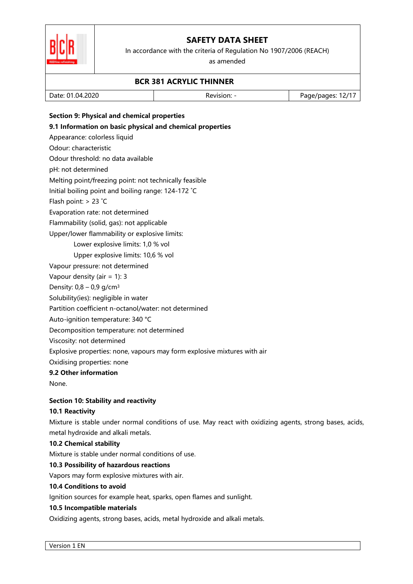

In accordance with the criteria of Regulation No 1907/2006 (REACH)

as amended

### **BCR 381 ACRYLIC THINNER**

|--|

### **Section 9: Physical and chemical properties**

### **9.1 Information on basic physical and chemical properties**

Appearance: colorless liquid

Odour: characteristic

Odour threshold: no data available

pH: not determined

Melting point/freezing point: not technically feasible

Initial boiling point and boiling range: 124-172 ˚C

Flash point: > 23 ˚C

Evaporation rate: not determined

Flammability (solid, gas): not applicable

Upper/lower flammability or explosive limits:

Lower explosive limits: 1,0 % vol

Upper explosive limits: 10,6 % vol

Vapour pressure: not determined

Vapour density (air = 1): 3

Density:  $0.8 - 0.9$  g/cm<sup>3</sup>

Solubility(ies): negligible in water

Partition coefficient n-octanol/water: not determined

Auto-ignition temperature: 340 °C

Decomposition temperature: not determined

Viscosity: not determined

Explosive properties: none, vapours may form explosive mixtures with air

Oxidising properties: none

### **9.2 Other information**

None.

### **Section 10: Stability and reactivity**

### **10.1 Reactivity**

Mixture is stable under normal conditions of use. May react with oxidizing agents, strong bases, acids, metal hydroxide and alkali metals.

### **10.2 Chemical stability**

Mixture is stable under normal conditions of use.

### **10.3 Possibility of hazardous reactions**

Vapors may form explosive mixtures with air.

### **10.4 Conditions to avoid**

Ignition sources for example heat, sparks, open flames and sunlight.

### **10.5 Incompatible materials**

Oxidizing agents, strong bases, acids, metal hydroxide and alkali metals.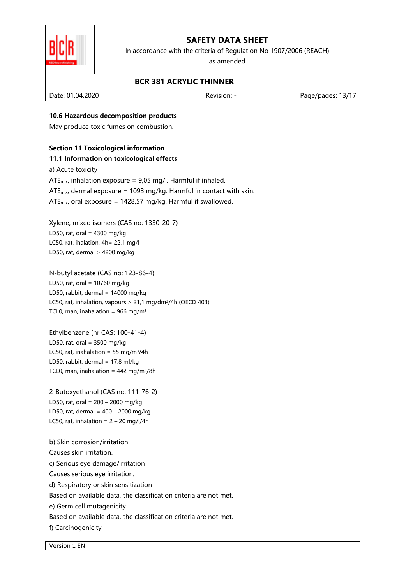

In accordance with the criteria of Regulation No 1907/2006 (REACH)

as amended

### **BCR 381 ACRYLIC THINNER**

| .04.2020<br>Date: 01. | Revision. | .3/1<br>age/pages: ' |
|-----------------------|-----------|----------------------|
|                       |           |                      |

### **10.6 Hazardous decomposition products**

May produce toxic fumes on combustion.

### **Section 11 Toxicological information**

#### **11.1 Information on toxicological effects**

a) Acute toxicity

ATE<sub>mix</sub>, inhalation exposure =  $9,05$  mg/l. Harmful if inhaled.

ATE $_{mix}$  dermal exposure = 1093 mg/kg. Harmful in contact with skin.

ATE<sub>mix</sub>, oral exposure = 1428,57 mg/kg. Harmful if swallowed.

Xylene, mixed isomers (CAS no: 1330-20-7) LD50, rat, oral =  $4300$  mg/kg LC50, rat, ihalation, 4h= 22,1 mg/l LD50, rat, dermal > 4200 mg/kg

N-butyl acetate (CAS no: 123-86-4) LD50, rat, oral = 10760 mg/kg LD50, rabbit, dermal =  $14000$  mg/kg LC50, rat, inhalation, vapours > 21,1 mg/dm<sup>3</sup>/4h (OECD 403) TCL0, man, inahalation =  $966$  mg/m<sup>3</sup>

Ethylbenzene (nr CAS: 100-41-4) LD50, rat, oral =  $3500$  mg/kg LC50, rat, inahalation = 55 mg/m $3/4h$ LD50, rabbit, dermal = 17,8 ml/kg TCL0, man, inahalation =  $442$  mg/m<sup>3</sup>/8h

2-Butoxyethanol (CAS no: 111-76-2) LD50, rat, oral = 200 – 2000 mg/kg LD50, rat, dermal =  $400 - 2000$  mg/kg LC50, rat, inhalation =  $2 - 20$  mg/l/4h

b) Skin corrosion/irritation Causes skin irritation. c) Serious eye damage/irritation Causes serious eye irritation. d) Respiratory or skin sensitization Based on available data, the classification criteria are not met. e) Germ cell mutagenicity Based on available data, the classification criteria are not met. f) Carcinogenicity

Version 1 EN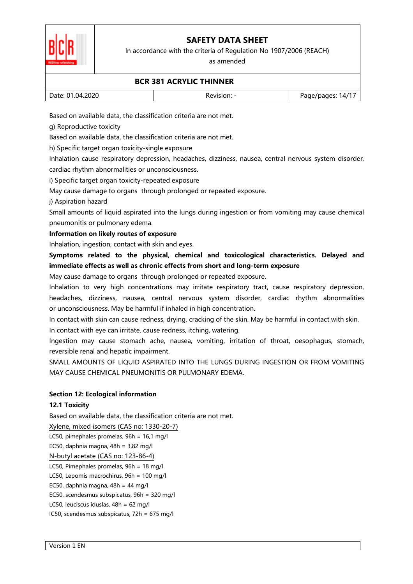

In accordance with the criteria of Regulation No 1907/2006 (REACH)

as amended

### **BCR 381 ACRYLIC THINNER**

| . |                                         |                     |
|---|-----------------------------------------|---------------------|
|   | .2020،<br>Date:<br>$.04 \degree$<br>()1 | 147<br>ade/bades: ` |

Based on available data, the classification criteria are not met.

g) Reproductive toxicity

Based on available data, the classification criteria are not met.

h) Specific target organ toxicity-single exposure

Inhalation cause respiratory depression, headaches, dizziness, nausea, central nervous system disorder, cardiac rhythm abnormalities or unconsciousness.

i) Specific target organ toxicity-repeated exposure

May cause damage to organs through prolonged or repeated exposure.

j) Aspiration hazard

Small amounts of liquid aspirated into the lungs during ingestion or from vomiting may cause chemical pneumonitis or pulmonary edema.

**Information on likely routes of exposure** 

Inhalation, ingestion, contact with skin and eyes.

**Symptoms related to the physical, chemical and toxicological characteristics. Delayed and immediate effects as well as chronic effects from short and long-term exposure** 

May cause damage to organs through prolonged or repeated exposure.

Inhalation to very high concentrations may irritate respiratory tract, cause respiratory depression, headaches, dizziness, nausea, central nervous system disorder, cardiac rhythm abnormalities or unconsciousness. May be harmful if inhaled in high concentration.

In contact with skin can cause redness, drying, cracking of the skin. May be harmful in contact with skin. In contact with eye can irritate, cause redness, itching, watering.

Ingestion may cause stomach ache, nausea, vomiting, irritation of throat, oesophagus, stomach, reversible renal and hepatic impairment.

SMALL AMOUNTS OF LIQUID ASPIRATED INTO THE LUNGS DURING INGESTION OR FROM VOMITING MAY CAUSE CHEMICAL PNEUMONITIS OR PULMONARY EDEMA.

### **Section 12: Ecological information**

### **12.1 Toxicity**

Based on available data, the classification criteria are not met.

Xylene, mixed isomers (CAS no: 1330-20-7)

LC50, pimephales promelas, 96h = 16,1 mg/l

EC50, daphnia magna,  $48h = 3,82$  mg/l

N-butyl acetate (CAS no: 123-86-4)

LC50, Pimephales promelas, 96h = 18 mg/l

LC50, Lepomis macrochirus, 96h = 100 mg/l

EC50, daphnia magna,  $48h = 44$  mg/l

EC50, scendesmus subspicatus, 96h = 320 mg/l

LC50, leuciscus iduslas, 48h = 62 mg/l

IC50, scendesmus subspicatus, 72h = 675 mg/l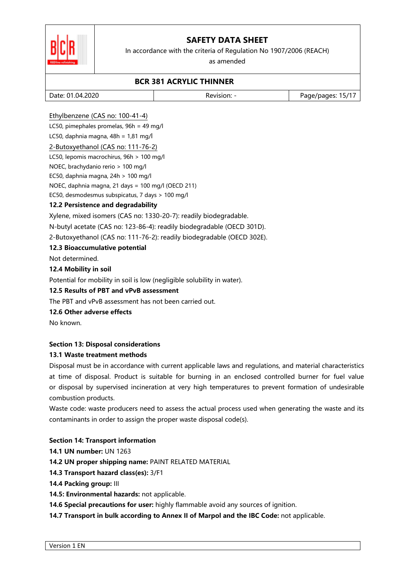



#### In accordance with the criteria of Regulation No 1907/2006 (REACH)

as amended

### **BCR 381 ACRYLIC THINNER**

| .04.2020<br>Date: 01 | Revision. | .15/17<br>age/pages: ' |
|----------------------|-----------|------------------------|
|                      |           |                        |

### Ethylbenzene (CAS no: 100-41-4)

LC50, pimephales promelas, 96h = 49 mg/l

# LC50, daphnia magna,  $48h = 1,81$  mg/l

2-Butoxyethanol (CAS no: 111-76-2) LC50, lepomis macrochirus, 96h > 100 mg/l NOEC, brachydanio rerio > 100 mg/l EC50, daphnia magna, 24h > 100 mg/l NOEC, daphnia magna, 21 days = 100 mg/l (OECD 211) EC50, desmodesmus subspicatus, 7 days > 100 mg/l

### **12.2 Persistence and degradability**

Xylene, mixed isomers (CAS no: 1330-20-7): readily biodegradable.

N-butyl acetate (CAS no: 123-86-4): readily biodegradable (OECD 301D).

2-Butoxyethanol (CAS no: 111-76-2): readily biodegradable (OECD 302E).

### **12.3 Bioaccumulative potential**

Not determined.

### **12.4 Mobility in soil**

Potential for mobility in soil is low (negligible solubility in water).

### **12.5 Results of PBT and vPvB assessment**

The PBT and vPvB assessment has not been carried out.

### **12.6 Other adverse effects**

No known.

### **Section 13: Disposal considerations**

### **13.1 Waste treatment methods**

Disposal must be in accordance with current applicable laws and regulations, and material characteristics at time of disposal. Product is suitable for burning in an enclosed controlled burner for fuel value or disposal by supervised incineration at very high temperatures to prevent formation of undesirable combustion products.

Waste code: waste producers need to assess the actual process used when generating the waste and its contaminants in order to assign the proper waste disposal code(s).

### **Section 14: Transport information**

**14.1 UN number:** UN 1263

**14.2 UN proper shipping name:** PAINT RELATED MATERIAL

- **14.3 Transport hazard class(es):** 3/F1
- **14.4 Packing group:** III
- **14.5: Environmental hazards:** not applicable.

**14.6 Special precautions for user:** highly flammable avoid any sources of ignition.

**14.7 Transport in bulk according to Annex II of Marpol and the IBC Code:** not applicable.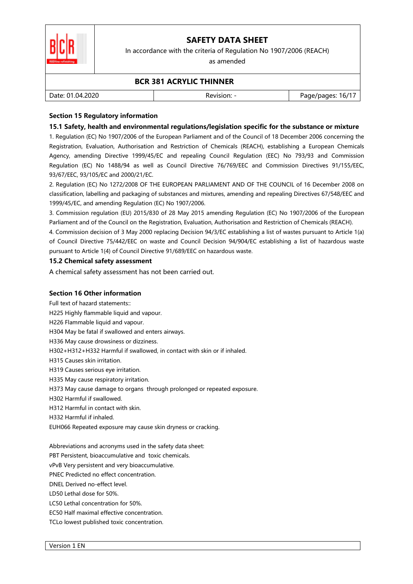

In accordance with the criteria of Regulation No 1907/2006 (REACH)

as amended

### **BCR 381 ACRYLIC THINNER**

| Date: 01.04.2020 | Revision: | $16/1^{-}$<br>Page/pages: |
|------------------|-----------|---------------------------|
|                  |           |                           |

### **Section 15 Regulatory information**

### **15.1 Safety, health and environmental regulations/legislation specific for the substance or mixture**

1. Regulation (EC) No 1907/2006 of the European Parliament and of the Council of 18 December 2006 concerning the Registration, Evaluation, Authorisation and Restriction of Chemicals (REACH), establishing a European Chemicals Agency, amending Directive 1999/45/EC and repealing Council Regulation (EEC) No 793/93 and Commission Regulation (EC) No 1488/94 as well as Council Directive 76/769/EEC and Commission Directives 91/155/EEC, 93/67/EEC, 93/105/EC and 2000/21/EC.

2. Regulation (EC) No 1272/2008 OF THE EUROPEAN PARLIAMENT AND OF THE COUNCIL of 16 December 2008 on classification, labelling and packaging of substances and mixtures, amending and repealing Directives 67/548/EEC and 1999/45/EC, and amending Regulation (EC) No 1907/2006.

3. Commission regulation (EU) 2015/830 of 28 May 2015 amending Regulation (EC) No 1907/2006 of the European Parliament and of the Council on the Registration, Evaluation, Authorisation and Restriction of Chemicals (REACH).

4. Commission decision of 3 May 2000 replacing Decision 94/3/EC establishing a list of wastes pursuant to Article 1(a) of Council Directive 75/442/EEC on waste and Council Decision 94/904/EC establishing a list of hazardous waste pursuant to Article 1(4) of Council Directive 91/689/EEC on hazardous waste.

#### **15.2 Chemical safety assessment**

A chemical safety assessment has not been carried out.

### **Section 16 Other information**

Full text of hazard statements::

H225 Highly flammable liquid and vapour.

H226 Flammable liquid and vapour.

H304 May be fatal if swallowed and enters airways.

H336 May cause drowsiness or dizziness.

H302+H312+H332 Harmful if swallowed, in contact with skin or if inhaled.

- H315 Causes skin irritation.
- H319 Causes serious eye irritation.
- H335 May cause respiratory irritation.
- H373 May cause damage to organs through prolonged or repeated exposure.
- H302 Harmful if swallowed.
- H312 Harmful in contact with skin.
- H332 Harmful if inhaled.
- EUH066 Repeated exposure may cause skin dryness or cracking.

Abbreviations and acronyms used in the safety data sheet:

PBT Persistent, bioaccumulative and toxic chemicals.

- vPvB Very persistent and very bioaccumulative.
- PNEC Predicted no effect concentration.
- DNEL Derived no-effect level.

LD50 Lethal dose for 50%.

LC50 Lethal concentration for 50%.

EC50 Half maximal effective concentration.

TCLo lowest published toxic concentration.